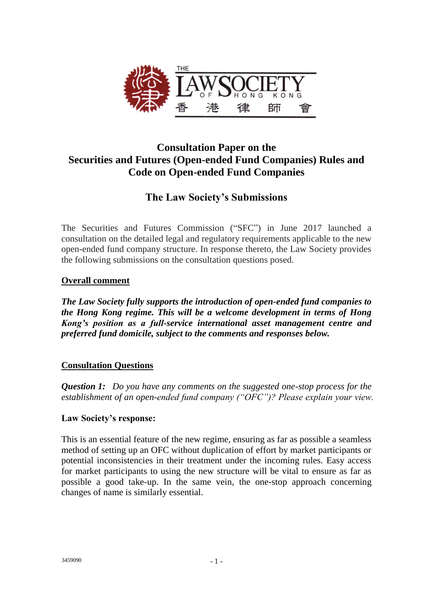

## **Consultation Paper on the Securities and Futures (Open-ended Fund Companies) Rules and Code on Open-ended Fund Companies**

# **The Law Society's Submissions**

The Securities and Futures Commission ("SFC") in June 2017 launched a consultation on the detailed legal and regulatory requirements applicable to the new open-ended fund company structure. In response thereto, the Law Society provides the following submissions on the consultation questions posed.

## **Overall comment**

*The Law Society fully supports the introduction of open-ended fund companies to the Hong Kong regime. This will be a welcome development in terms of Hong Kong's position as a full-service international asset management centre and preferred fund domicile, subject to the comments and responses below.*

## **Consultation Questions**

*Question 1: Do you have any comments on the suggested one-stop process for the establishment of an open-ended fund company ("OFC")? Please explain your view.*

## **Law Society's response:**

This is an essential feature of the new regime, ensuring as far as possible a seamless method of setting up an OFC without duplication of effort by market participants or potential inconsistencies in their treatment under the incoming rules. Easy access for market participants to using the new structure will be vital to ensure as far as possible a good take-up. In the same vein, the one-stop approach concerning changes of name is similarly essential.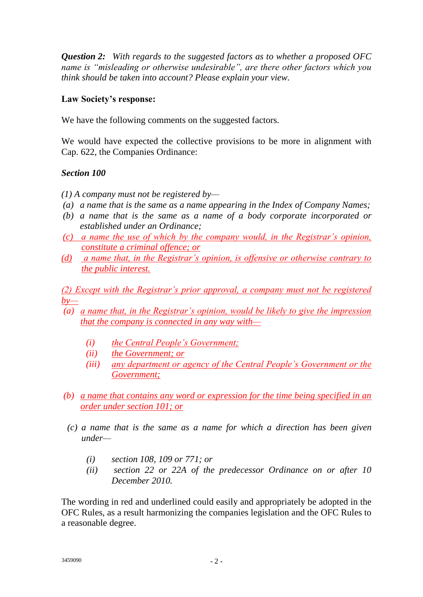*Question 2: With regards to the suggested factors as to whether a proposed OFC name is "misleading or otherwise undesirable", are there other factors which you think should be taken into account? Please explain your view.*

#### **Law Society's response:**

We have the following comments on the suggested factors.

We would have expected the collective provisions to be more in alignment with Cap. 622, the Companies Ordinance:

## *Section 100*

*(1) A company must not be registered by—*

- *(a) a name that is the same as a name appearing in the Index of Company Names;*
- *(b) a name that is the same as a name of a body corporate incorporated or established under an Ordinance;*
- *(c) a name the use of which by the company would, in the Registrar's opinion, constitute a criminal offence; or*
- *(d) a name that, in the Registrar's opinion, is offensive or otherwise contrary to the public interest.*

*(2) Except with the Registrar's prior approval, a company must not be registered by—*

- *(a) a name that, in the Registrar's opinion, would be likely to give the impression that the company is connected in any way with—*
	- *(i) the Central People's Government;*
	- *(ii) the Government; or*
	- *(iii) any department or agency of the Central People's Government or the Government;*
- *(b) a name that contains any word or expression for the time being specified in an order under section 101; or*
- *(c) a name that is the same as a name for which a direction has been given under—*
	- *(i) section 108, 109 or 771; or*
	- *(ii) section 22 or 22A of the predecessor Ordinance on or after 10 December 2010.*

The wording in red and underlined could easily and appropriately be adopted in the OFC Rules, as a result harmonizing the companies legislation and the OFC Rules to a reasonable degree.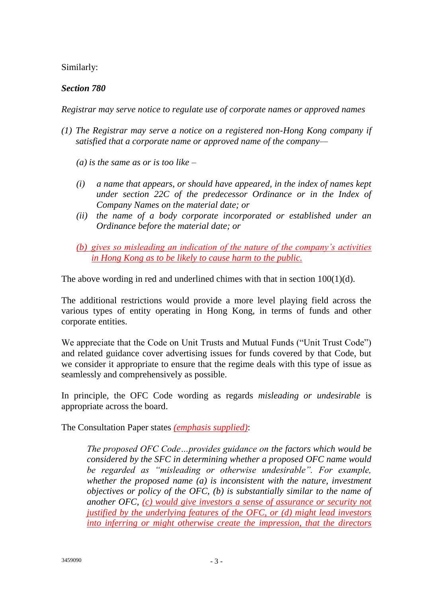Similarly:

## *Section 780*

*Registrar may serve notice to regulate use of corporate names or approved names*

- *(1) The Registrar may serve a notice on a registered non-Hong Kong company if satisfied that a corporate name or approved name of the company—*
	- *(a) is the same as or is too like –*
	- *(i) a name that appears, or should have appeared, in the index of names kept under section 22C of the predecessor Ordinance or in the Index of Company Names on the material date; or*
	- *(ii) the name of a body corporate incorporated or established under an Ordinance before the material date; or*
	- *(b) gives so misleading an indication of the nature of the company's activities in Hong Kong as to be likely to cause harm to the public.*

The above wording in red and underlined chimes with that in section 100(1)(d).

The additional restrictions would provide a more level playing field across the various types of entity operating in Hong Kong, in terms of funds and other corporate entities.

We appreciate that the Code on Unit Trusts and Mutual Funds ("Unit Trust Code") and related guidance cover advertising issues for funds covered by that Code, but we consider it appropriate to ensure that the regime deals with this type of issue as seamlessly and comprehensively as possible.

In principle, the OFC Code wording as regards *misleading or undesirable* is appropriate across the board.

The Consultation Paper states *(emphasis supplied)*:

*The proposed OFC Code…provides guidance on the factors which would be considered by the SFC in determining whether a proposed OFC name would be regarded as "misleading or otherwise undesirable". For example, whether the proposed name (a) is inconsistent with the nature, investment objectives or policy of the OFC, (b) is substantially similar to the name of another OFC, (c) would give investors a sense of assurance or security not justified by the underlying features of the OFC, or (d) might lead investors into inferring or might otherwise create the impression, that the directors*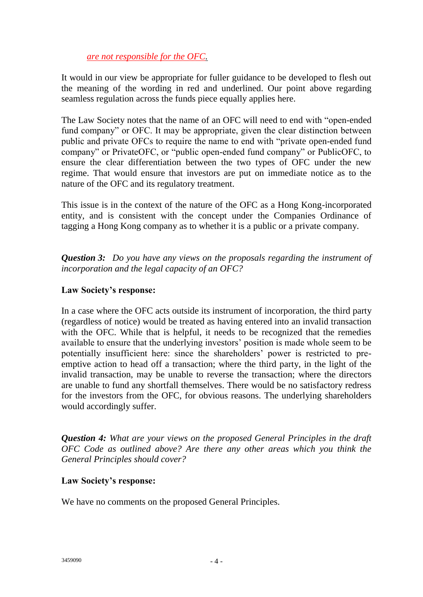#### *are not responsible for the OFC.*

It would in our view be appropriate for fuller guidance to be developed to flesh out the meaning of the wording in red and underlined. Our point above regarding seamless regulation across the funds piece equally applies here.

The Law Society notes that the name of an OFC will need to end with "open-ended fund company" or OFC. It may be appropriate, given the clear distinction between public and private OFCs to require the name to end with "private open-ended fund company" or PrivateOFC, or "public open-ended fund company" or PublicOFC, to ensure the clear differentiation between the two types of OFC under the new regime. That would ensure that investors are put on immediate notice as to the nature of the OFC and its regulatory treatment.

This issue is in the context of the nature of the OFC as a Hong Kong-incorporated entity, and is consistent with the concept under the Companies Ordinance of tagging a Hong Kong company as to whether it is a public or a private company.

*Question 3: Do you have any views on the proposals regarding the instrument of incorporation and the legal capacity of an OFC?*

#### **Law Society's response:**

In a case where the OFC acts outside its instrument of incorporation, the third party (regardless of notice) would be treated as having entered into an invalid transaction with the OFC. While that is helpful, it needs to be recognized that the remedies available to ensure that the underlying investors' position is made whole seem to be potentially insufficient here: since the shareholders' power is restricted to preemptive action to head off a transaction; where the third party, in the light of the invalid transaction, may be unable to reverse the transaction; where the directors are unable to fund any shortfall themselves. There would be no satisfactory redress for the investors from the OFC, for obvious reasons. The underlying shareholders would accordingly suffer.

*Question 4: What are your views on the proposed General Principles in the draft OFC Code as outlined above? Are there any other areas which you think the General Principles should cover?*

#### **Law Society's response:**

We have no comments on the proposed General Principles.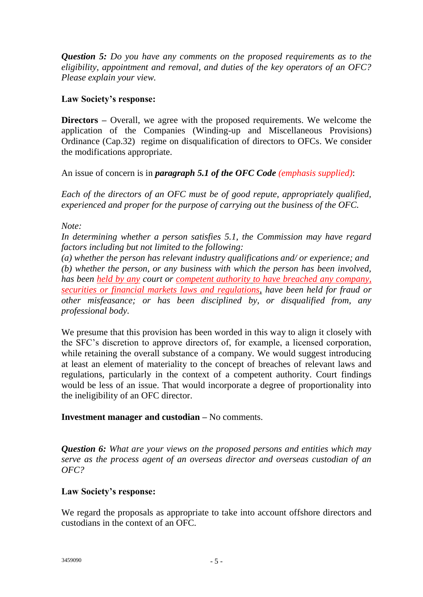*Question 5: Do you have any comments on the proposed requirements as to the eligibility, appointment and removal, and duties of the key operators of an OFC? Please explain your view.*

#### **Law Society's response:**

**Directors –** Overall, we agree with the proposed requirements. We welcome the application of the Companies (Winding-up and Miscellaneous Provisions) Ordinance (Cap.32) regime on disqualification of directors to OFCs. We consider the modifications appropriate.

An issue of concern is in *paragraph 5.1 of the OFC Code (emphasis supplied)*:

*Each of the directors of an OFC must be of good repute, appropriately qualified, experienced and proper for the purpose of carrying out the business of the OFC.*

*Note:*

*In determining whether a person satisfies 5.1, the Commission may have regard factors including but not limited to the following:*

*(a) whether the person has relevant industry qualifications and/ or experience; and (b) whether the person, or any business with which the person has been involved, has been held by any court or competent authority to have breached any company, securities or financial markets laws and regulations, have been held for fraud or other misfeasance; or has been disciplined by, or disqualified from, any professional body.*

We presume that this provision has been worded in this way to align it closely with the SFC's discretion to approve directors of, for example, a licensed corporation, while retaining the overall substance of a company. We would suggest introducing at least an element of materiality to the concept of breaches of relevant laws and regulations, particularly in the context of a competent authority. Court findings would be less of an issue. That would incorporate a degree of proportionality into the ineligibility of an OFC director.

## **Investment manager and custodian –** No comments.

*Question 6: What are your views on the proposed persons and entities which may serve as the process agent of an overseas director and overseas custodian of an OFC?*

## **Law Society's response:**

We regard the proposals as appropriate to take into account offshore directors and custodians in the context of an OFC.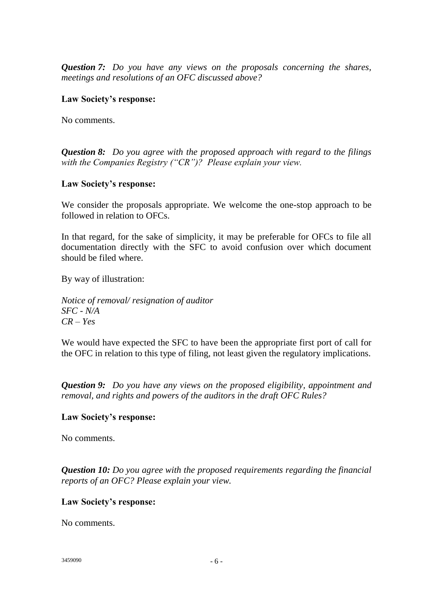*Question 7: Do you have any views on the proposals concerning the shares, meetings and resolutions of an OFC discussed above?*

#### **Law Society's response:**

No comments.

*Question 8: Do you agree with the proposed approach with regard to the filings with the Companies Registry ("CR")? Please explain your view.*

#### **Law Society's response:**

We consider the proposals appropriate. We welcome the one-stop approach to be followed in relation to OFCs.

In that regard, for the sake of simplicity, it may be preferable for OFCs to file all documentation directly with the SFC to avoid confusion over which document should be filed where.

By way of illustration:

*Notice of removal/ resignation of auditor SFC - N/A CR – Yes*

We would have expected the SFC to have been the appropriate first port of call for the OFC in relation to this type of filing, not least given the regulatory implications.

*Question 9: Do you have any views on the proposed eligibility, appointment and removal, and rights and powers of the auditors in the draft OFC Rules?*

#### **Law Society's response:**

No comments.

*Question 10: Do you agree with the proposed requirements regarding the financial reports of an OFC? Please explain your view.*

## **Law Society's response:**

No comments.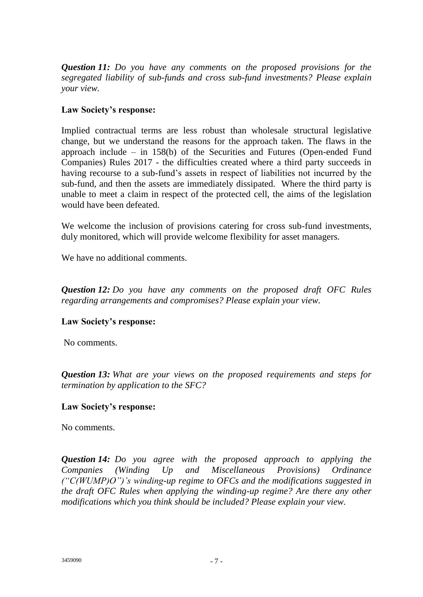*Question 11: Do you have any comments on the proposed provisions for the segregated liability of sub-funds and cross sub-fund investments? Please explain your view.*

## **Law Society's response:**

Implied contractual terms are less robust than wholesale structural legislative change, but we understand the reasons for the approach taken. The flaws in the approach include – in 158(b) of the Securities and Futures (Open-ended Fund Companies) Rules 2017 - the difficulties created where a third party succeeds in having recourse to a sub-fund's assets in respect of liabilities not incurred by the sub-fund, and then the assets are immediately dissipated. Where the third party is unable to meet a claim in respect of the protected cell, the aims of the legislation would have been defeated.

We welcome the inclusion of provisions catering for cross sub-fund investments, duly monitored, which will provide welcome flexibility for asset managers.

We have no additional comments.

*Question 12: Do you have any comments on the proposed draft OFC Rules regarding arrangements and compromises? Please explain your view.*

## **Law Society's response:**

No comments.

*Question 13: What are your views on the proposed requirements and steps for termination by application to the SFC?*

## **Law Society's response:**

No comments.

*Question 14: Do you agree with the proposed approach to applying the Companies (Winding Up and Miscellaneous Provisions) Ordinance ("C(WUMP)O")'s winding-up regime to OFCs and the modifications suggested in the draft OFC Rules when applying the winding-up regime? Are there any other modifications which you think should be included? Please explain your view.*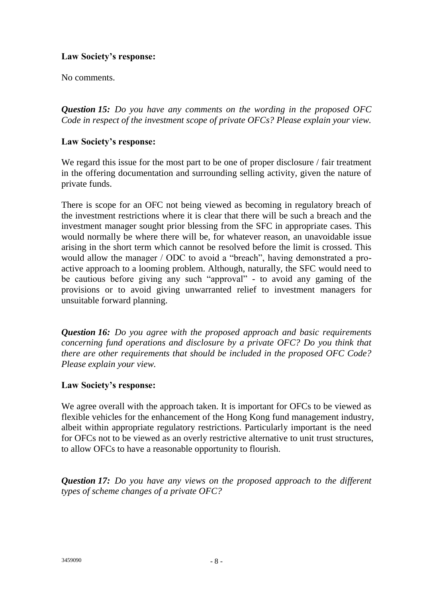## **Law Society's response:**

No comments.

*Question 15: Do you have any comments on the wording in the proposed OFC Code in respect of the investment scope of private OFCs? Please explain your view.*

#### **Law Society's response:**

We regard this issue for the most part to be one of proper disclosure / fair treatment in the offering documentation and surrounding selling activity, given the nature of private funds.

There is scope for an OFC not being viewed as becoming in regulatory breach of the investment restrictions where it is clear that there will be such a breach and the investment manager sought prior blessing from the SFC in appropriate cases. This would normally be where there will be, for whatever reason, an unavoidable issue arising in the short term which cannot be resolved before the limit is crossed. This would allow the manager / ODC to avoid a "breach", having demonstrated a proactive approach to a looming problem. Although, naturally, the SFC would need to be cautious before giving any such "approval" - to avoid any gaming of the provisions or to avoid giving unwarranted relief to investment managers for unsuitable forward planning.

*Question 16: Do you agree with the proposed approach and basic requirements concerning fund operations and disclosure by a private OFC? Do you think that there are other requirements that should be included in the proposed OFC Code? Please explain your view.*

## **Law Society's response:**

We agree overall with the approach taken. It is important for OFCs to be viewed as flexible vehicles for the enhancement of the Hong Kong fund management industry, albeit within appropriate regulatory restrictions. Particularly important is the need for OFCs not to be viewed as an overly restrictive alternative to unit trust structures, to allow OFCs to have a reasonable opportunity to flourish.

*Question 17: Do you have any views on the proposed approach to the different types of scheme changes of a private OFC?*